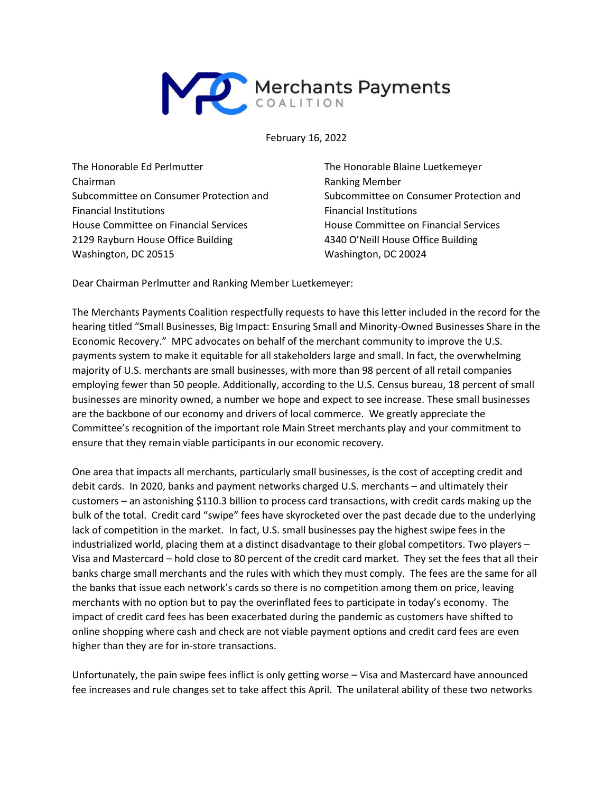

February 16, 2022

The Honorable Ed Perlmutter Chairman Subcommittee on Consumer Protection and Financial Institutions House Committee on Financial Services 2129 Rayburn House Office Building Washington, DC 20515

The Honorable Blaine Luetkemeyer Ranking Member Subcommittee on Consumer Protection and Financial Institutions House Committee on Financial Services 4340 O'Neill House Office Building Washington, DC 20024

Dear Chairman Perlmutter and Ranking Member Luetkemeyer:

The Merchants Payments Coalition respectfully requests to have this letter included in the record for the hearing titled "Small Businesses, Big Impact: Ensuring Small and Minority-Owned Businesses Share in the Economic Recovery." MPC advocates on behalf of the merchant community to improve the U.S. payments system to make it equitable for all stakeholders large and small. In fact, the overwhelming majority of U.S. merchants are small businesses, with more than 98 percent of all retail companies employing fewer than 50 people. Additionally, according to the U.S. Census bureau, 18 percent of small businesses are minority owned, a number we hope and expect to see increase. These small businesses are the backbone of our economy and drivers of local commerce. We greatly appreciate the Committee's recognition of the important role Main Street merchants play and your commitment to ensure that they remain viable participants in our economic recovery.

One area that impacts all merchants, particularly small businesses, is the cost of accepting credit and debit cards. In 2020, banks and payment networks charged U.S. merchants – and ultimately their customers – an astonishing \$110.3 billion to process card transactions, with credit cards making up the bulk of the total. Credit card "swipe" fees have skyrocketed over the past decade due to the underlying lack of competition in the market. In fact, U.S. small businesses pay the highest swipe fees in the industrialized world, placing them at a distinct disadvantage to their global competitors. Two players – Visa and Mastercard – hold close to 80 percent of the credit card market. They set the fees that all their banks charge small merchants and the rules with which they must comply. The fees are the same for all the banks that issue each network's cards so there is no competition among them on price, leaving merchants with no option but to pay the overinflated fees to participate in today's economy. The impact of credit card fees has been exacerbated during the pandemic as customers have shifted to online shopping where cash and check are not viable payment options and credit card fees are even higher than they are for in-store transactions.

Unfortunately, the pain swipe fees inflict is only getting worse – Visa and Mastercard have announced fee increases and rule changes set to take affect this April. The unilateral ability of these two networks